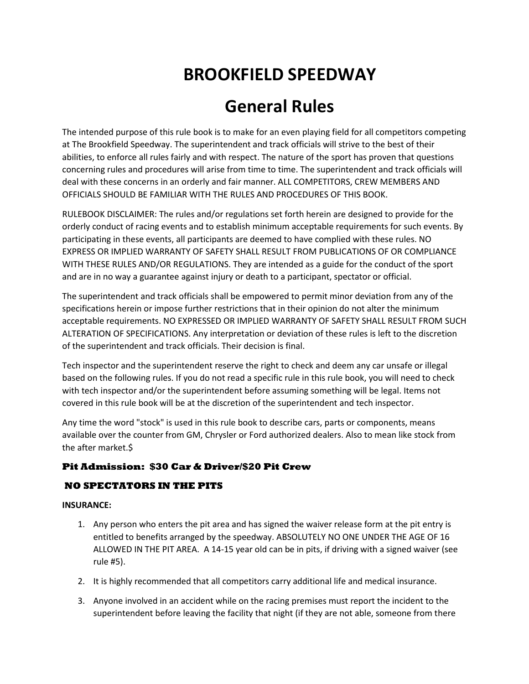# **BROOKFIELD SPEEDWAY**

# **General Rules**

The intended purpose of this rule book is to make for an even playing field for all competitors competing at The Brookfield Speedway. The superintendent and track officials will strive to the best of their abilities, to enforce all rules fairly and with respect. The nature of the sport has proven that questions concerning rules and procedures will arise from time to time. The superintendent and track officials will deal with these concerns in an orderly and fair manner. ALL COMPETITORS, CREW MEMBERS AND OFFICIALS SHOULD BE FAMILIAR WITH THE RULES AND PROCEDURES OF THIS BOOK.

RULEBOOK DISCLAIMER: The rules and/or regulations set forth herein are designed to provide for the orderly conduct of racing events and to establish minimum acceptable requirements for such events. By participating in these events, all participants are deemed to have complied with these rules. NO EXPRESS OR IMPLIED WARRANTY OF SAFETY SHALL RESULT FROM PUBLICATIONS OF OR COMPLIANCE WITH THESE RULES AND/OR REGULATIONS. They are intended as a guide for the conduct of the sport and are in no way a guarantee against injury or death to a participant, spectator or official.

The superintendent and track officials shall be empowered to permit minor deviation from any of the specifications herein or impose further restrictions that in their opinion do not alter the minimum acceptable requirements. NO EXPRESSED OR IMPLIED WARRANTY OF SAFETY SHALL RESULT FROM SUCH ALTERATION OF SPECIFICATIONS. Any interpretation or deviation of these rules is left to the discretion of the superintendent and track officials. Their decision is final.

Tech inspector and the superintendent reserve the right to check and deem any car unsafe or illegal based on the following rules. If you do not read a specific rule in this rule book, you will need to check with tech inspector and/or the superintendent before assuming something will be legal. Items not covered in this rule book will be at the discretion of the superintendent and tech inspector.

Any time the word "stock" is used in this rule book to describe cars, parts or components, means available over the counter from GM, Chrysler or Ford authorized dealers. Also to mean like stock from the after market.\$

# **Pit Admission: \$30 Car & Driver/\$20 Pit Crew**

# **NO SPECTATORS IN THE PITS**

#### **INSURANCE:**

- 1. Any person who enters the pit area and has signed the waiver release form at the pit entry is entitled to benefits arranged by the speedway. ABSOLUTELY NO ONE UNDER THE AGE OF 16 ALLOWED IN THE PIT AREA. A 14-15 year old can be in pits, if driving with a signed waiver (see rule #5).
- 2. It is highly recommended that all competitors carry additional life and medical insurance.
- 3. Anyone involved in an accident while on the racing premises must report the incident to the superintendent before leaving the facility that night (if they are not able, someone from there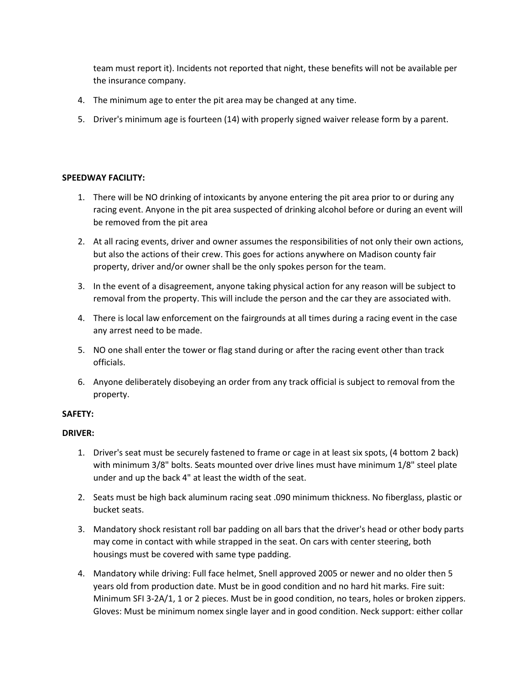team must report it). Incidents not reported that night, these benefits will not be available per the insurance company.

- 4. The minimum age to enter the pit area may be changed at any time.
- 5. Driver's minimum age is fourteen (14) with properly signed waiver release form by a parent.

#### **SPEEDWAY FACILITY:**

- 1. There will be NO drinking of intoxicants by anyone entering the pit area prior to or during any racing event. Anyone in the pit area suspected of drinking alcohol before or during an event will be removed from the pit area
- 2. At all racing events, driver and owner assumes the responsibilities of not only their own actions, but also the actions of their crew. This goes for actions anywhere on Madison county fair property, driver and/or owner shall be the only spokes person for the team.
- 3. In the event of a disagreement, anyone taking physical action for any reason will be subject to removal from the property. This will include the person and the car they are associated with.
- 4. There is local law enforcement on the fairgrounds at all times during a racing event in the case any arrest need to be made.
- 5. NO one shall enter the tower or flag stand during or after the racing event other than track officials.
- 6. Anyone deliberately disobeying an order from any track official is subject to removal from the property.

#### **SAFETY:**

#### **DRIVER:**

- 1. Driver's seat must be securely fastened to frame or cage in at least six spots, (4 bottom 2 back) with minimum 3/8" bolts. Seats mounted over drive lines must have minimum 1/8" steel plate under and up the back 4" at least the width of the seat.
- 2. Seats must be high back aluminum racing seat .090 minimum thickness. No fiberglass, plastic or bucket seats.
- 3. Mandatory shock resistant roll bar padding on all bars that the driver's head or other body parts may come in contact with while strapped in the seat. On cars with center steering, both housings must be covered with same type padding.
- 4. Mandatory while driving: Full face helmet, Snell approved 2005 or newer and no older then 5 years old from production date. Must be in good condition and no hard hit marks. Fire suit: Minimum SFI 3-2A/1, 1 or 2 pieces. Must be in good condition, no tears, holes or broken zippers. Gloves: Must be minimum nomex single layer and in good condition. Neck support: either collar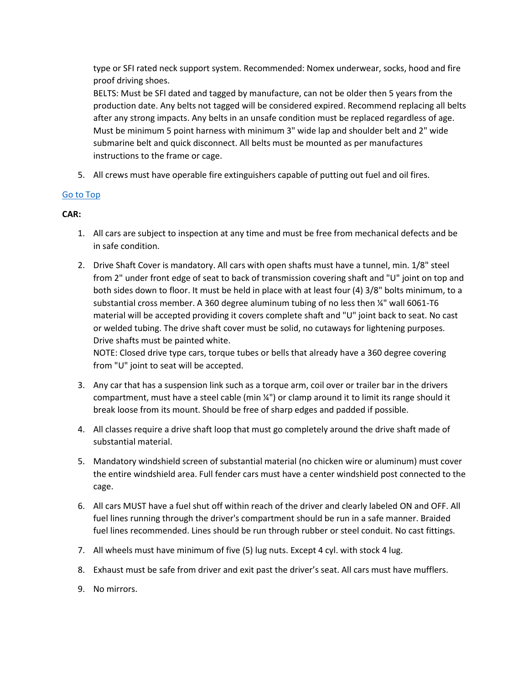type or SFI rated neck support system. Recommended: Nomex underwear, socks, hood and fire proof driving shoes.

BELTS: Must be SFI dated and tagged by manufacture, can not be older then 5 years from the production date. Any belts not tagged will be considered expired. Recommend replacing all belts after any strong impacts. Any belts in an unsafe condition must be replaced regardless of age. Must be minimum 5 point harness with minimum 3" wide lap and shoulder belt and 2" wide submarine belt and quick disconnect. All belts must be mounted as per manufactures instructions to the frame or cage.

5. All crews must have operable fire extinguishers capable of putting out fuel and oil fires.

# [Go to Top](http://aftonmotorsportspark.com/rules.shtml#top)

# **CAR:**

- 1. All cars are subject to inspection at any time and must be free from mechanical defects and be in safe condition.
- 2. Drive Shaft Cover is mandatory. All cars with open shafts must have a tunnel, min. 1/8" steel from 2" under front edge of seat to back of transmission covering shaft and "U" joint on top and both sides down to floor. It must be held in place with at least four (4) 3/8" bolts minimum, to a substantial cross member. A 360 degree aluminum tubing of no less then ¼" wall 6061-T6 material will be accepted providing it covers complete shaft and "U" joint back to seat. No cast or welded tubing. The drive shaft cover must be solid, no cutaways for lightening purposes. Drive shafts must be painted white.

NOTE: Closed drive type cars, torque tubes or bells that already have a 360 degree covering from "U" joint to seat will be accepted.

- 3. Any car that has a suspension link such as a torque arm, coil over or trailer bar in the drivers compartment, must have a steel cable (min ¼") or clamp around it to limit its range should it break loose from its mount. Should be free of sharp edges and padded if possible.
- 4. All classes require a drive shaft loop that must go completely around the drive shaft made of substantial material.
- 5. Mandatory windshield screen of substantial material (no chicken wire or aluminum) must cover the entire windshield area. Full fender cars must have a center windshield post connected to the cage.
- 6. All cars MUST have a fuel shut off within reach of the driver and clearly labeled ON and OFF. All fuel lines running through the driver's compartment should be run in a safe manner. Braided fuel lines recommended. Lines should be run through rubber or steel conduit. No cast fittings.
- 7. All wheels must have minimum of five (5) lug nuts. Except 4 cyl. with stock 4 lug.
- 8. Exhaust must be safe from driver and exit past the driver's seat. All cars must have mufflers.
- 9. No mirrors.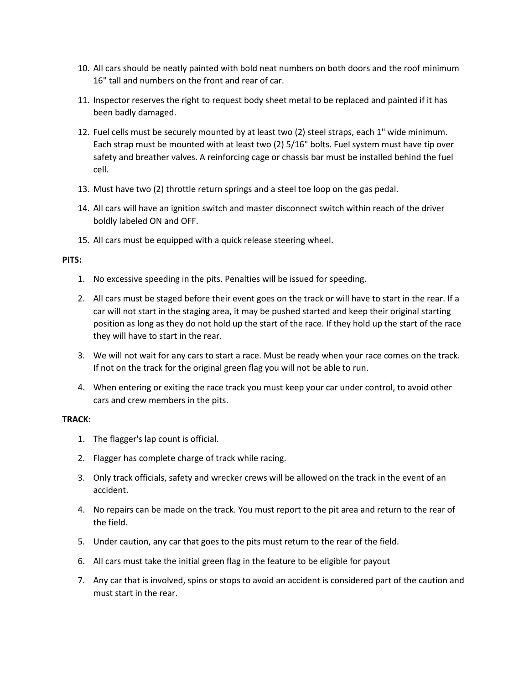- 10. All cars should be neatly painted with bold neat numbers on both doors and the roof minimum 16" tall and numbers on the front and rear of car.
- 11. Inspector reserves the right to request body sheet metal to be replaced and painted if it has been badly damaged.
- 12. Fuel cells must be securely mounted by at least two (2) steel straps, each 1" wide minimum. Each strap must be mounted with at least two (2) 5/16" bolts. Fuel system must have tip over safety and breather valves. A reinforcing cage or chassis bar must be installed behind the fuel cell.
- 13. Must have two (2) throttle return springs and a steel toe loop on the gas pedal.
- 14. All cars will have an ignition switch and master disconnect switch within reach of the driver boldly labeled ON and OFF.
- 15. All cars must be equipped with a quick release steering wheel.

#### **PITS:**

- 1. No excessive speeding in the pits. Penalties will be issued for speeding.
- 2. All cars must be staged before their event goes on the track or will have to start in the rear. If a car will not start in the staging area, it may be pushed started and keep their original starting position as long as they do not hold up the start of the race. If they hold up the start of the race they will have to start in the rear.
- 3. We will not wait for any cars to start a race. Must be ready when your race comes on the track. If not on the track for the original green flag you will not be able to run.
- 4. When entering or exiting the race track you must keep your car under control, to avoid other cars and crew members in the pits.

#### **TRACK:**

- 1. The flagger's lap count is official.
- 2. Flagger has complete charge of track while racing.
- 3. Only track officials, safety and wrecker crews will be allowed on the track in the event of an accident.
- 4. No repairs can be made on the track. You must report to the pit area and return to the rear of the field.
- 5. Under caution, any car that goes to the pits must return to the rear of the field.
- 6. All cars must take the initial green flag in the feature to be eligible for payout
- 7. Any car that is involved, spins or stops to avoid an accident is considered part of the caution and must start in the rear.